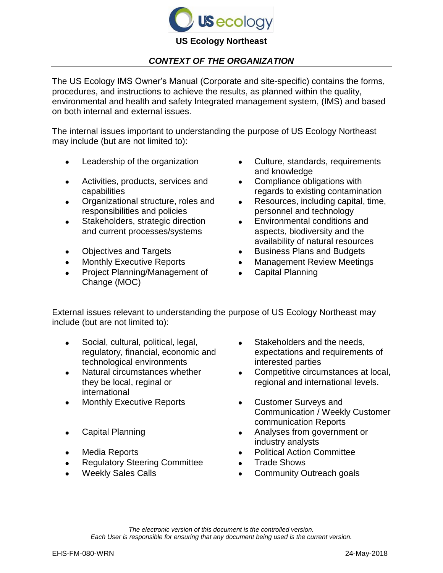

## *CONTEXT OF THE ORGANIZATION*

The US Ecology IMS Owner's Manual (Corporate and site-specific) contains the forms, procedures, and instructions to achieve the results, as planned within the quality, environmental and health and safety Integrated management system, (IMS) and based on both internal and external issues.

The internal issues important to understanding the purpose of US Ecology Northeast may include (but are not limited to):

- 
- Activities, products, services and capabilities
- Organizational structure, roles and responsibilities and policies
- Stakeholders, strategic direction and current processes/systems
- 
- 
- Project Planning/Management of Change (MOC)
- Leadership of the organization  $\qquad \qquad \bullet \quad \text{ Culture}, \text{ standards}, \text{ requirements}$ and knowledge
	- Compliance obligations with regards to existing contamination
	- Resources, including capital, time, personnel and technology
	- Environmental conditions and aspects, biodiversity and the availability of natural resources
- Objectives and Targets **Conserversity** Business Plans and Budgets
	- Monthly Executive Reports **Conserversity** Management Review Meetings
		- Capital Planning

External issues relevant to understanding the purpose of US Ecology Northeast may include (but are not limited to):

- Social, cultural, political, legal, regulatory, financial, economic and technological environments
- Natural circumstances whether they be local, reginal or international
- Monthly Executive Reports **Customer Surveys and**
- 
- 
- Regulatory Steering Committee Trade Shows
- 
- Stakeholders and the needs, expectations and requirements of interested parties
- Competitive circumstances at local, regional and international levels.
- Communication / Weekly Customer communication Reports
- Capital Planning **Analyses from government or** industry analysts
	- Media Reports **Committee Committee Committee** 
		-
	- Weekly Sales Calls **Calls Community Outreach goals**